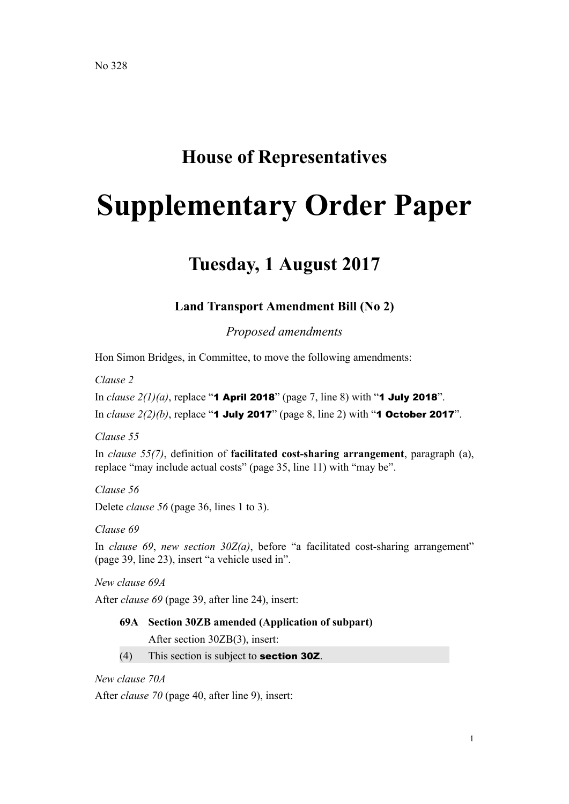## **House of Representatives**

# **Supplementary Order Paper**

## **Tuesday, 1 August 2017**

### **Land Transport Amendment Bill (No 2)**

*Proposed amendments*

Hon Simon Bridges, in Committee, to move the following amendments:

*Clause 2*

In *clause 2(1)(a)*, replace "**1 April 2018**" (page 7, line 8) with "**1 July 2018**". In *clause 2(2)(b)*, replace "**1 July 2017**" (page 8, line 2) with "**1 October 2017**".

*Clause 55*

In *clause 55(7)*, definition of **facilitated cost-sharing arrangement**, paragraph (a), replace "may include actual costs" (page 35, line 11) with "may be".

*Clause 56*

Delete *clause 56* (page 36, lines 1 to 3).

*Clause 69*

In *clause 69*, *new section 30Z(a)*, before "a facilitated cost-sharing arrangement" (page 39, line 23), insert "a vehicle used in".

*New clause 69A*

After *clause 69* (page 39, after line 24), insert:

#### **69A Section 30ZB amended (Application of subpart)**

After section 30ZB(3), insert:

 $(4)$  This section is subject to **section 302**.

*New clause 70A*

After *clause 70* (page 40, after line 9), insert: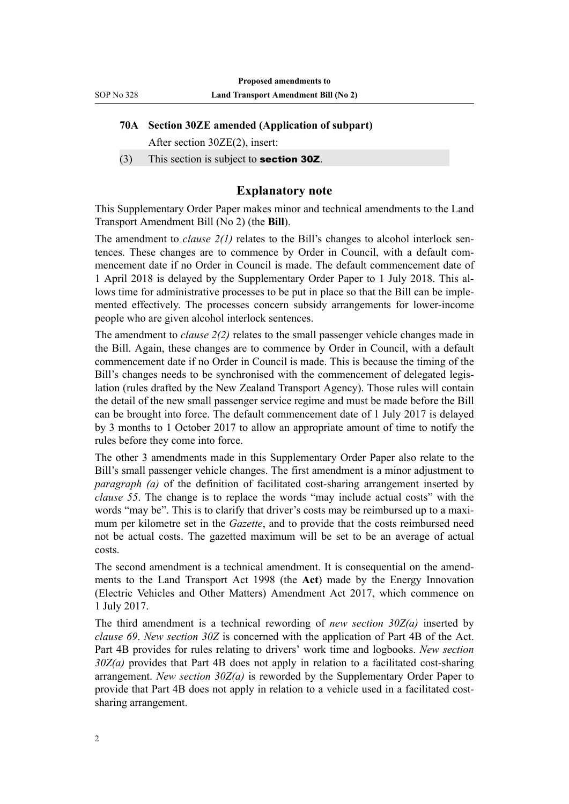#### **70A Section 30ZE amended (Application of subpart)**

After section 30ZE(2), insert:

(3) This section is subject to section 30Z.

#### **Explanatory note**

This Supplementary Order Paper makes minor and technical amendments to the Land Transport Amendment Bill (No 2) (the **Bill**).

The amendment to *clause 2(1)* relates to the Bill's changes to alcohol interlock sentences. These changes are to commence by Order in Council, with a default commencement date if no Order in Council is made. The default commencement date of 1 April 2018 is delayed by the Supplementary Order Paper to 1 July 2018. This allows time for administrative processes to be put in place so that the Bill can be implemented effectively. The processes concern subsidy arrangements for lower-income people who are given alcohol interlock sentences.

The amendment to *clause 2(2)* relates to the small passenger vehicle changes made in the Bill. Again, these changes are to commence by Order in Council, with a default commencement date if no Order in Council is made. This is because the timing of the Bill's changes needs to be synchronised with the commencement of delegated legislation (rules drafted by the New Zealand Transport Agency). Those rules will contain the detail of the new small passenger service regime and must be made before the Bill can be brought into force. The default commencement date of 1 July 2017 is delayed by 3 months to 1 October 2017 to allow an appropriate amount of time to notify the rules before they come into force.

The other 3 amendments made in this Supplementary Order Paper also relate to the Bill's small passenger vehicle changes. The first amendment is a minor adjustment to *paragraph (a)* of the definition of facilitated cost-sharing arrangement inserted by *clause 55*. The change is to replace the words "may include actual costs" with the words "may be". This is to clarify that driver's costs may be reimbursed up to a maximum per kilometre set in the *Gazette*, and to provide that the costs reimbursed need not be actual costs. The gazetted maximum will be set to be an average of actual costs.

The second amendment is a technical amendment. It is consequential on the amendments to the Land Transport Act 1998 (the **Act**) made by the Energy Innovation (Electric Vehicles and Other Matters) Amendment Act 2017, which commence on 1 July 2017.

The third amendment is a technical rewording of *new section 30Z(a)* inserted by *clause 69*. *New section 30Z* is concerned with the application of Part 4B of the Act. Part 4B provides for rules relating to drivers' work time and logbooks. *New section 30Z(a)* provides that Part 4B does not apply in relation to a facilitated cost-sharing arrangement. *New section 30Z(a)* is reworded by the Supplementary Order Paper to provide that Part 4B does not apply in relation to a vehicle used in a facilitated costsharing arrangement.